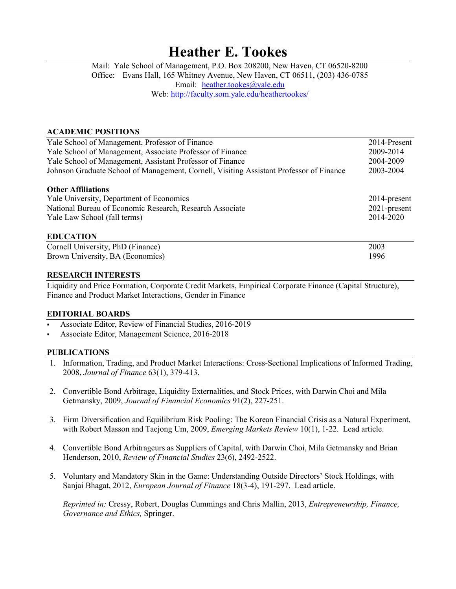# **Heather E. Tookes**

Mail: Yale School of Management, P.O. Box 208200, New Haven, CT 06520-8200 Office: Evans Hall, 165 Whitney Avenue, New Haven, CT 06511, (203) 436-0785 Email: [heather.tookes@yale.edu](mailto:heather.tookes@yale.edu) Web: <http://faculty.som.yale.edu/heathertookes/>

## **ACADEMIC POSITIONS**

| Yale School of Management, Professor of Finance                                         | 2014-Present    |
|-----------------------------------------------------------------------------------------|-----------------|
| Yale School of Management, Associate Professor of Finance                               | 2009-2014       |
| Yale School of Management, Assistant Professor of Finance                               | 2004-2009       |
| Johnson Graduate School of Management, Cornell, Visiting Assistant Professor of Finance | 2003-2004       |
| <b>Other Affiliations</b>                                                               |                 |
| Yale University, Department of Economics                                                | $2014$ -present |
| National Bureau of Economic Research, Research Associate                                | $2021$ -present |
| Yale Law School (fall terms)                                                            | 2014-2020       |
| <b>EDUCATION</b>                                                                        |                 |
| Cornell University, PhD (Finance)                                                       | 2003            |
| Brown University, BA (Economics)                                                        | 1996            |

## **RESEARCH INTERESTS**

Liquidity and Price Formation, Corporate Credit Markets, Empirical Corporate Finance (Capital Structure), Finance and Product Market Interactions, Gender in Finance

## **EDITORIAL BOARDS**

- Associate Editor, Review of Financial Studies, 2016-2019
- Associate Editor, Management Science, 2016-2018

## **PUBLICATIONS**

- 1. Information, Trading, and Product Market Interactions: Cross-Sectional Implications of Informed Trading, 2008, *Journal of Finance* 63(1), 379-413.
- 2. Convertible Bond Arbitrage, Liquidity Externalities, and Stock Prices, with Darwin Choi and Mila Getmansky, 2009, *Journal of Financial Economics* 91(2), 227-251.
- 3. Firm Diversification and Equilibrium Risk Pooling: The Korean Financial Crisis as a Natural Experiment, with Robert Masson and Taejong Um, 2009, *Emerging Markets Review* 10(1), 1-22. Lead article.
- 4. Convertible Bond Arbitrageurs as Suppliers of Capital, with Darwin Choi, Mila Getmansky and Brian Henderson, 2010, *Review of Financial Studies* 23(6), 2492-2522.
- 5. Voluntary and Mandatory Skin in the Game: Understanding Outside Directors' Stock Holdings, with Sanjai Bhagat, 2012, *European Journal of Finance* 18(3-4), 191-297. Lead article.

*Reprinted in:* Cressy, Robert, Douglas Cummings and Chris Mallin, 2013, *Entrepreneurship, Finance, Governance and Ethics,* Springer.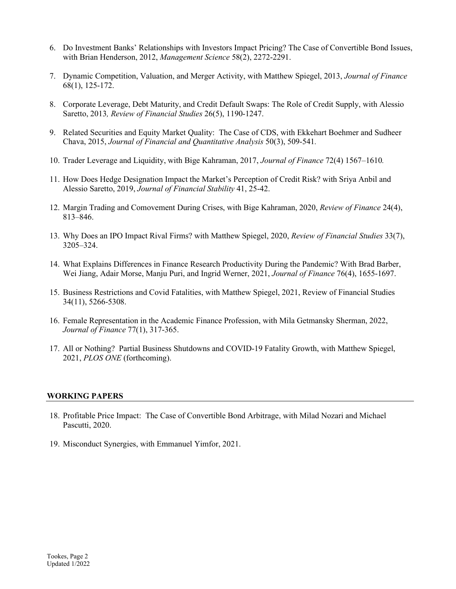- 6. Do Investment Banks' Relationships with Investors Impact Pricing? The Case of Convertible Bond Issues, with Brian Henderson, 2012, *Management Science* 58(2), 2272-2291.
- 7. Dynamic Competition, Valuation, and Merger Activity, with Matthew Spiegel, 2013, *Journal of Finance*  68(1), 125-172.
- 8. Corporate Leverage, Debt Maturity, and Credit Default Swaps: The Role of Credit Supply, with Alessio Saretto, 2013*, Review of Financial Studies* 26(5), 1190-1247.
- 9. Related Securities and Equity Market Quality: The Case of CDS, with Ekkehart Boehmer and Sudheer Chava, 2015, *Journal of Financial and Quantitative Analysis* 50(3), 509-541*.*
- 10. Trader Leverage and Liquidity, with Bige Kahraman, 2017, *Journal of Finance* 72(4) 1567–1610*.*
- 11. How Does Hedge Designation Impact the Market's Perception of Credit Risk? with Sriya Anbil and Alessio Saretto, 2019, *Journal of Financial Stability* 41, 25-42.
- 12. Margin Trading and Comovement During Crises, with Bige Kahraman, 2020, *Review of Finance* 24(4), 813–846.
- 13. Why Does an IPO Impact Rival Firms? with Matthew Spiegel, 2020, *Review of Financial Studies* 33(7), 3205–324.
- 14. What Explains Differences in Finance Research Productivity During the Pandemic? With Brad Barber, Wei Jiang, Adair Morse, Manju Puri, and Ingrid Werner, 2021, *Journal of Finance* 76(4), 1655-1697.
- 15. Business Restrictions and Covid Fatalities, with Matthew Spiegel, 2021, Review of Financial Studies 34(11), 5266-5308.
- 16. Female Representation in the Academic Finance Profession, with Mila Getmansky Sherman, 2022, *Journal of Finance* 77(1), 317-365.
- 17. All or Nothing? Partial Business Shutdowns and COVID-19 Fatality Growth, with Matthew Spiegel, 2021, *PLOS ONE* (forthcoming).

## **WORKING PAPERS**

- 18. Profitable Price Impact: The Case of Convertible Bond Arbitrage, with Milad Nozari and Michael Pascutti, 2020.
- 19. Misconduct Synergies, with Emmanuel Yimfor, 2021.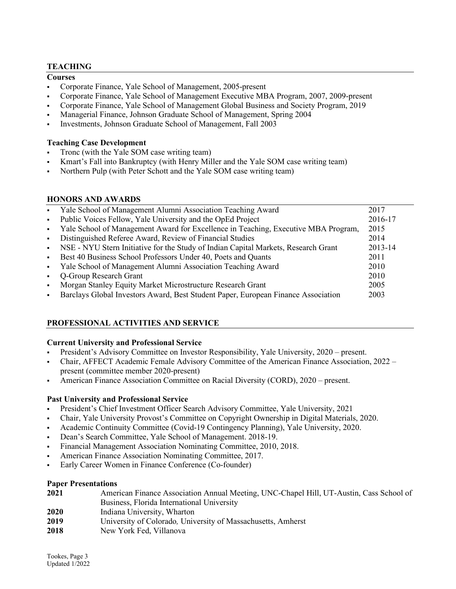## **TEACHING**

## **Courses**

- Corporate Finance, Yale School of Management, 2005-present
- Corporate Finance, Yale School of Management Executive MBA Program, 2007, 2009-present
- Corporate Finance, Yale School of Management Global Business and Society Program, 2019
- Managerial Finance, Johnson Graduate School of Management, Spring 2004
- Investments, Johnson Graduate School of Management, Fall 2003

## **Teaching Case Development**

- Tronc (with the Yale SOM case writing team)
- Kmart's Fall into Bankruptcy (with Henry Miller and the Yale SOM case writing team)
- Northern Pulp (with Peter Schott and the Yale SOM case writing team)

## **HONORS AND AWARDS**

| $\mathbf{r}$              | Yale School of Management Alumni Association Teaching Award                        | 2017    |
|---------------------------|------------------------------------------------------------------------------------|---------|
| $\mathbf{u}$ .            | Public Voices Fellow, Yale University and the OpEd Project                         | 2016-17 |
| $\mathbf{H}^{\text{max}}$ | Yale School of Management Award for Excellence in Teaching, Executive MBA Program, | 2015    |
| $\mathbf{m}$ .            | Distinguished Referee Award, Review of Financial Studies                           | 2014    |
| $\mathbf{r}$              | NSE - NYU Stern Initiative for the Study of Indian Capital Markets, Research Grant | 2013-14 |
| $\blacksquare$            | Best 40 Business School Professors Under 40, Poets and Quants                      | 2011    |
| $\mathbf{m}$ .            | Yale School of Management Alumni Association Teaching Award                        | 2010    |
|                           | Q-Group Research Grant                                                             | 2010    |
| $\blacksquare$            | Morgan Stanley Equity Market Microstructure Research Grant                         | 2005    |
| $\blacksquare$            | Barclays Global Investors Award, Best Student Paper, European Finance Association  | 2003    |
|                           |                                                                                    |         |

# **PROFESSIONAL ACTIVITIES AND SERVICE**

## **Current University and Professional Service**

- President's Advisory Committee on Investor Responsibility, Yale University, 2020 present.
- Chair, AFFECT Academic Female Advisory Committee of the American Finance Association, 2022 present (committee member 2020-present)
- American Finance Association Committee on Racial Diversity (CORD), 2020 present.

# **Past University and Professional Service**

- President's Chief Investment Officer Search Advisory Committee, Yale University, 2021
- Chair, Yale University Provost's Committee on Copyright Ownership in Digital Materials, 2020.
- Academic Continuity Committee (Covid-19 Contingency Planning), Yale University, 2020.
- Dean's Search Committee, Yale School of Management. 2018-19.
- Financial Management Association Nominating Committee, 2010, 2018.
- American Finance Association Nominating Committee, 2017.
- Early Career Women in Finance Conference (Co-founder)

## **Paper Presentations**

| 2021 | American Finance Association Annual Meeting, UNC-Chapel Hill, UT-Austin, Cass School of |
|------|-----------------------------------------------------------------------------------------|
|      | Business, Florida International University                                              |
| 2020 | Indiana University, Wharton                                                             |
| 2019 | University of Colorado, University of Massachusetts, Amherst                            |
| 2018 | New York Fed, Villanova                                                                 |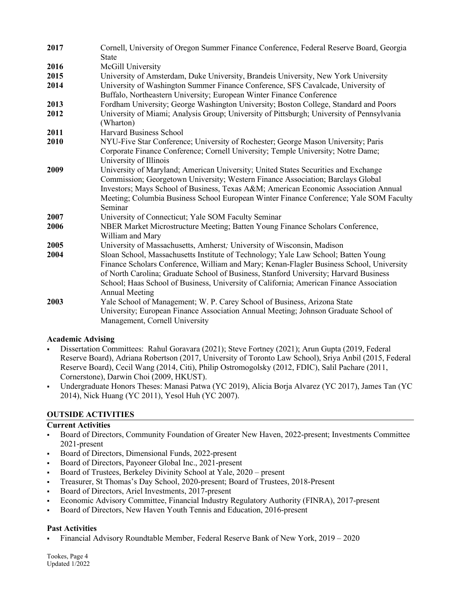| 2017 | Cornell, University of Oregon Summer Finance Conference, Federal Reserve Board, Georgia<br><b>State</b>                                                                                                                                                                                                                                                                                     |
|------|---------------------------------------------------------------------------------------------------------------------------------------------------------------------------------------------------------------------------------------------------------------------------------------------------------------------------------------------------------------------------------------------|
| 2016 | McGill University                                                                                                                                                                                                                                                                                                                                                                           |
| 2015 | University of Amsterdam, Duke University, Brandeis University, New York University                                                                                                                                                                                                                                                                                                          |
| 2014 | University of Washington Summer Finance Conference, SFS Cavalcade, University of<br>Buffalo, Northeastern University; European Winter Finance Conference                                                                                                                                                                                                                                    |
| 2013 | Fordham University; George Washington University; Boston College, Standard and Poors                                                                                                                                                                                                                                                                                                        |
| 2012 | University of Miami; Analysis Group; University of Pittsburgh; University of Pennsylvania<br>(Wharton)                                                                                                                                                                                                                                                                                      |
| 2011 | <b>Harvard Business School</b>                                                                                                                                                                                                                                                                                                                                                              |
| 2010 | NYU-Five Star Conference; University of Rochester; George Mason University; Paris<br>Corporate Finance Conference; Cornell University; Temple University; Notre Dame;<br>University of Illinois                                                                                                                                                                                             |
| 2009 | University of Maryland; American University; United States Securities and Exchange<br>Commission; Georgetown University; Western Finance Association; Barclays Global<br>Investors; Mays School of Business, Texas A&M American Economic Association Annual<br>Meeting; Columbia Business School European Winter Finance Conference; Yale SOM Faculty<br>Seminar                            |
| 2007 | University of Connecticut; Yale SOM Faculty Seminar                                                                                                                                                                                                                                                                                                                                         |
| 2006 | NBER Market Microstructure Meeting; Batten Young Finance Scholars Conference,<br>William and Mary                                                                                                                                                                                                                                                                                           |
| 2005 | University of Massachusetts, Amherst; University of Wisconsin, Madison                                                                                                                                                                                                                                                                                                                      |
| 2004 | Sloan School, Massachusetts Institute of Technology; Yale Law School; Batten Young<br>Finance Scholars Conference, William and Mary; Kenan-Flagler Business School, University<br>of North Carolina; Graduate School of Business, Stanford University; Harvard Business<br>School; Haas School of Business, University of California; American Finance Association<br><b>Annual Meeting</b> |
| 2003 | Yale School of Management; W. P. Carey School of Business, Arizona State<br>University; European Finance Association Annual Meeting; Johnson Graduate School of<br>Management, Cornell University                                                                                                                                                                                           |

## **Academic Advising**

- Dissertation Committees: Rahul Goravara (2021); Steve Fortney (2021); Arun Gupta (2019, Federal Reserve Board), Adriana Robertson (2017, University of Toronto Law School), Sriya Anbil (2015, Federal Reserve Board), Cecil Wang (2014, Citi), Philip Ostromogolsky (2012, FDIC), Salil Pachare (2011, Cornerstone), Darwin Choi (2009, HKUST).
- Undergraduate Honors Theses: Manasi Patwa (YC 2019), Alicia Borja Alvarez (YC 2017), James Tan (YC 2014), Nick Huang (YC 2011), Yesol Huh (YC 2007).

# **OUTSIDE ACTIVITIES**

# **Current Activities**

- Board of Directors, Community Foundation of Greater New Haven, 2022-present; Investments Committee 2021-present
- Board of Directors, Dimensional Funds, 2022-present
- Board of Directors, Payoneer Global Inc., 2021-present
- Board of Trustees, Berkeley Divinity School at Yale, 2020 present
- Treasurer, St Thomas's Day School, 2020-present; Board of Trustees, 2018-Present
- Board of Directors, Ariel Investments, 2017-present
- Economic Advisory Committee, Financial Industry Regulatory Authority (FINRA), 2017-present
- Board of Directors, New Haven Youth Tennis and Education, 2016-present

# **Past Activities**

Financial Advisory Roundtable Member, Federal Reserve Bank of New York, 2019 – 2020